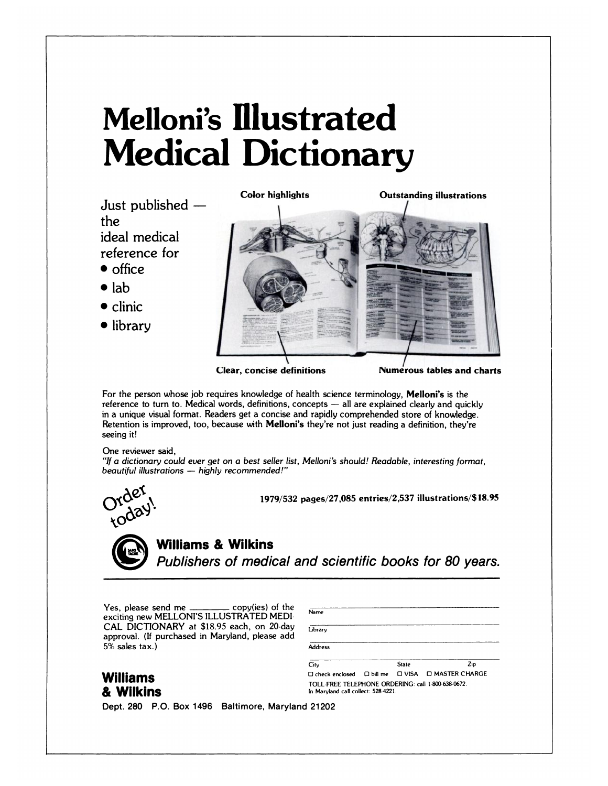# **Melloni's illustrated Medical Dictionary**

**Just** published  the ideal medical **reference for**

- **<sup>S</sup> office**
- **<sup>S</sup>** lab
- **<sup>S</sup>** clinic
- **<sup>S</sup>** library



**Clear, concise definitions** 

**Numerous tables and charts** 

For the person whose job requires knowledge of health science terminology, Melloni's is the reference to turn to. Medical words, definitions, concepts - all are explained clearly and quickly **in a unique** visual format. Readers get a concise and rapidly comprehended store of knowledge. Retention is improved, too, because with Melloni's they're not just reading a definition, they're seeing it!

# One reviewer said,

*"If a dictionary could* ever *get on a best seller list, Melloni's should! Readable, interesting format, beautiful illustrations - highly recommended!"*



**1979/532** pages/27,085 entries/2,537 illustrations/\$ 18.95

*=1* **Williams & Wilkins** Publishers of medical and scientific books for 80 years.

> Name library

Yes, please send me  $\frac{1}{1}$  copy(ies) of the exciting new MELLONI'S ILLUSTRATED MEDI. CAL DICTIONARY at *\$18.95* each, on 20-day approval. (If purchased in Maryland, please add **5%** sales tax.)

| Williams         |  |
|------------------|--|
| <u>ኔ Wilkins</u> |  |

| approval. (If purchased in Maryland, please add<br>5% sales tax.) | <b>Address</b>                                                                            |  |              |                        |
|-------------------------------------------------------------------|-------------------------------------------------------------------------------------------|--|--------------|------------------------|
|                                                                   | City                                                                                      |  | <b>State</b> | Zio                    |
| Williams                                                          | $\Box$ check enclosed $\Box$ bill me $\Box$ VISA                                          |  |              | <b>D MASTER CHARGE</b> |
| & Wilkins                                                         | TOLL FREE TELEPHONE ORDERING: call 1 800-638-0672.<br>In Maryland call collect: 528-4221. |  |              |                        |

Dept. 280 P.O. Box 1496 Baltimore, Maryland 21202